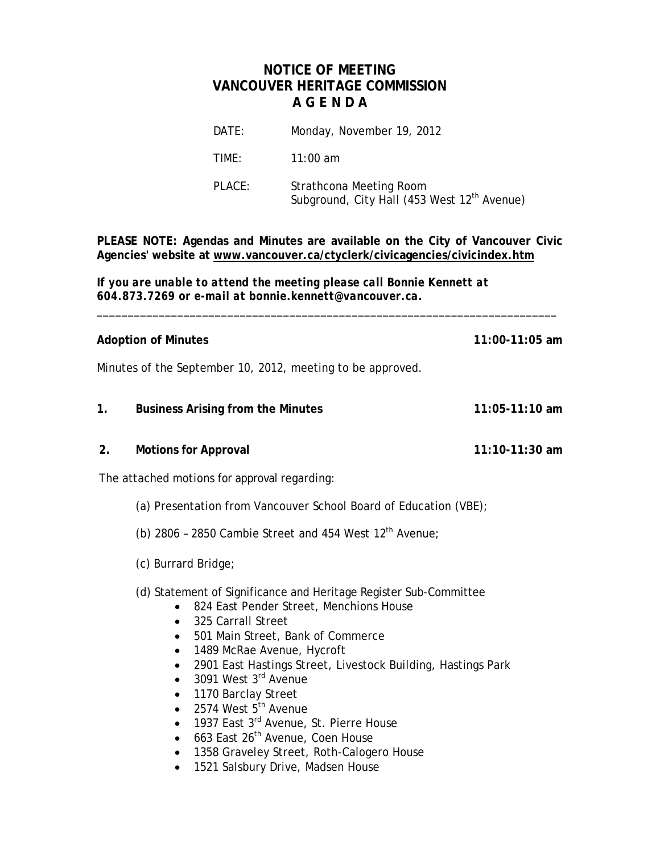## **NOTICE OF MEETING VANCOUVER HERITAGE COMMISSION A G E N D A**

| DATE:  | Monday, November 19, 2012                                                          |
|--------|------------------------------------------------------------------------------------|
| TIME:  | 11:00 am                                                                           |
| PLACE: | Strathcona Meeting Room<br>Subground, City Hall (453 West 12 <sup>th</sup> Avenue) |

**PLEASE NOTE: Agendas and Minutes are available on the City of Vancouver Civic Agencies' website at www.vancouver.ca/ctyclerk/civicagencies/civicindex.htm**

\_\_\_\_\_\_\_\_\_\_\_\_\_\_\_\_\_\_\_\_\_\_\_\_\_\_\_\_\_\_\_\_\_\_\_\_\_\_\_\_\_\_\_\_\_\_\_\_\_\_\_\_\_\_\_\_\_\_\_\_\_\_\_\_\_\_\_\_\_\_\_\_\_\_

*If you are unable to attend the meeting please call Bonnie Kennett at 604.873.7269 or e-mail at bonnie.kennett@vancouver.ca.*

**Adoption of Minutes 11:00-11:05 am**

Minutes of the September 10, 2012, meeting to be approved.

- **1. Business Arising from the Minutes 11:05-11:10 am**
- **2. Motions for Approval 11:10-11:30 am**

The attached motions for approval regarding:

- (a) Presentation from Vancouver School Board of Education (VBE);
- (b) 2806 2850 Cambie Street and 454 West  $12<sup>th</sup>$  Avenue;
- (c) Burrard Bridge;
- (d) Statement of Significance and Heritage Register Sub-Committee
	- 824 East Pender Street, Menchions House
	- 325 Carrall Street
	- 501 Main Street, Bank of Commerce
	- 1489 McRae Avenue, Hycroft
	- 2901 East Hastings Street, Livestock Building, Hastings Park
	- $\bullet$  3091 West 3<sup>rd</sup> Avenue
	- 1170 Barclay Street
	- $\bullet$  2574 West  $5^{\text{th}}$  Avenue
	- 1937 East 3<sup>rd</sup> Avenue, St. Pierre House
	- $\bullet$  663 East 26<sup>th</sup> Avenue, Coen House
	- 1358 Graveley Street, Roth-Calogero House
	- 1521 Salsbury Drive, Madsen House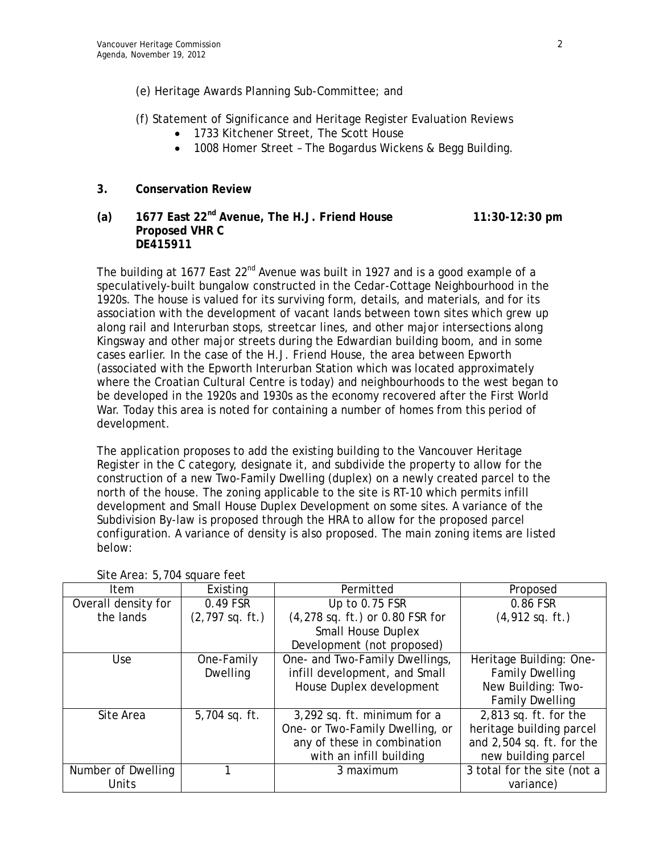- (e) Heritage Awards Planning Sub-Committee; and
- (f) Statement of Significance and Heritage Register Evaluation Reviews
	- 1733 Kitchener Street, The Scott House
	- 1008 Homer Street The Bogardus Wickens & Begg Building.

### **3. Conservation Review**

### **(a) 1677 East 22nd Avenue, The H.J. Friend House 11:30-12:30 pm Proposed VHR C DE415911**

The building at 1677 East  $22^{nd}$  Avenue was built in 1927 and is a good example of a speculatively-built bungalow constructed in the Cedar-Cottage Neighbourhood in the 1920s. The house is valued for its surviving form, details, and materials, and for its association with the development of vacant lands between town sites which grew up along rail and Interurban stops, streetcar lines, and other major intersections along Kingsway and other major streets during the Edwardian building boom, and in some cases earlier. In the case of the H.J. Friend House, the area between Epworth (associated with the Epworth Interurban Station which was located approximately where the Croatian Cultural Centre is today) and neighbourhoods to the west began to be developed in the 1920s and 1930s as the economy recovered after the First World War. Today this area is noted for containing a number of homes from this period of development.

The application proposes to add the existing building to the Vancouver Heritage Register in the C category, designate it, and subdivide the property to allow for the construction of a new Two-Family Dwelling (duplex) on a newly created parcel to the north of the house. The zoning applicable to the site is RT-10 which permits infill development and Small House Duplex Development on some sites. A variance of the Subdivision By-law is proposed through the HRA to allow for the proposed parcel configuration. A variance of density is also proposed. The main zoning items are listed below:

| Item                | Existing          | Permitted                       | Proposed                    |
|---------------------|-------------------|---------------------------------|-----------------------------|
| Overall density for | 0.49 FSR          | Up to 0.75 FSR                  | 0.86 FSR                    |
| the lands           | $(2,797$ sq. ft.) | (4,278 sq. ft.) or 0.80 FSR for | $(4,912$ sq. ft.)           |
|                     |                   | <b>Small House Duplex</b>       |                             |
|                     |                   | Development (not proposed)      |                             |
| Use                 | One-Family        | One- and Two-Family Dwellings,  | Heritage Building: One-     |
|                     | <b>Dwelling</b>   | infill development, and Small   | <b>Family Dwelling</b>      |
|                     |                   | House Duplex development        | New Building: Two-          |
|                     |                   |                                 | <b>Family Dwelling</b>      |
| Site Area           | 5,704 sq. ft.     | 3,292 sq. ft. minimum for a     | $2,813$ sq. ft. for the     |
|                     |                   | One- or Two-Family Dwelling, or | heritage building parcel    |
|                     |                   | any of these in combination     | and 2,504 sq. ft. for the   |
|                     |                   | with an infill building         | new building parcel         |
| Number of Dwelling  |                   | 3 maximum                       | 3 total for the site (not a |
| Units               |                   |                                 | variance)                   |

Site Area: 5,704 square feet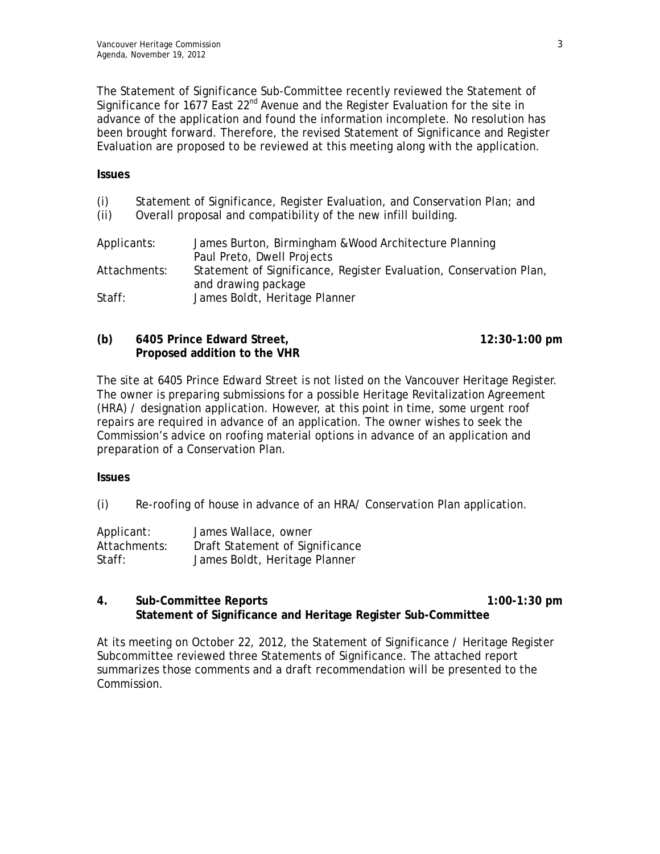The Statement of Significance Sub-Committee recently reviewed the Statement of Significance for  $1677$  East  $22^{nd}$  Avenue and the Register Evaluation for the site in advance of the application and found the information incomplete. No resolution has been brought forward. Therefore, the revised Statement of Significance and Register Evaluation are proposed to be reviewed at this meeting along with the application.

#### **Issues**

- (i) Statement of Significance, Register Evaluation, and Conservation Plan; and
- (ii) Overall proposal and compatibility of the new infill building.

| Applicants:  | James Burton, Birmingham & Wood Architecture Planning              |
|--------------|--------------------------------------------------------------------|
|              | Paul Preto, Dwell Projects                                         |
| Attachments: | Statement of Significance, Register Evaluation, Conservation Plan, |
|              | and drawing package                                                |
| Staff:       | James Boldt, Heritage Planner                                      |

| (b) | 6405 Prince Edward Street,   | $12:30-1:00$ pm |
|-----|------------------------------|-----------------|
|     | Proposed addition to the VHR |                 |

The site at 6405 Prince Edward Street is not listed on the Vancouver Heritage Register. The owner is preparing submissions for a possible Heritage Revitalization Agreement (HRA) / designation application. However, at this point in time, some urgent roof repairs are required in advance of an application. The owner wishes to seek the Commission's advice on roofing material options in advance of an application and preparation of a Conservation Plan.

#### **Issues**

(i) Re-roofing of house in advance of an HRA/ Conservation Plan application.

| Applicant:   | James Wallace, owner            |
|--------------|---------------------------------|
| Attachments: | Draft Statement of Significance |
| Staff:       | James Boldt, Heritage Planner   |

#### **4. Sub-Committee Reports 1:00-1:30 pm Statement of Significance and Heritage Register Sub-Committee**

At its meeting on October 22, 2012, the Statement of Significance / Heritage Register Subcommittee reviewed three Statements of Significance. The attached report summarizes those comments and a draft recommendation will be presented to the Commission.